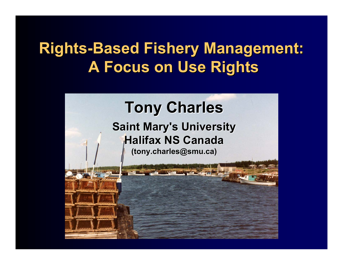## **Rights-Based Fishery Management: A Focus on Use Rights A Focus on Use Rights**

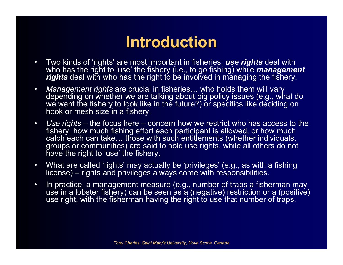## **Introduction Introduction**

- • Two kinds of 'rights' are most important in fisheries: *use rights* deal with who has the right to 'use' the fishery (i.e., to go fishing) while *management rights* deal with who has the right to be involved in managing the fishery.
- $\bullet$  *Management rights* are crucial in fisheries… who holds them will vary depending on whether we are talking about big policy issues (e.g., what do we want the fishery to look like in the future?) or specifics like deciding on hook or mesh size in a fishery.
- $\bullet$  *Use rights* – the focus here – concern how we restrict who has access to the fishery, how much fishing effort each participant is allowed, or how much catch each can take... those with such entitlements (whether individuals, groups or communities) are said to hold use rights, while all others do not have the right to 'use' the fishery.
- $\bullet$  What are called 'rights' may actually be 'privileges' (e.g., as with a fishing license) – rights and privileges always come with responsibilities.
- $\bullet$  In practice, a management measure (e.g., number of traps a fisherman may use in a lobster fishery) can be seen as a (negative) restriction or a (positive) use right, with the fisherman having the right to use that number of traps.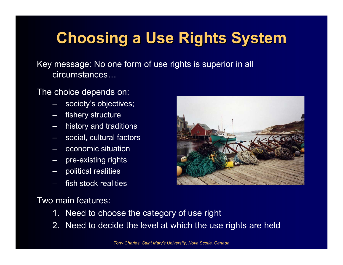# **Choosing a Use Rights System Choosing a Use Rights System**

Key message: No one form of use rights is superior in all circumstances…

The choice depends on:

- society's objectives;
- fishery structure
- history and traditions
- social, cultural factors
- economic situation
- –pre-existing rights
- political realities
- fish stock realities

Two main features:

- 1. Need to choose the category of use right
- 2. Need to decide the level at which the use rights are held

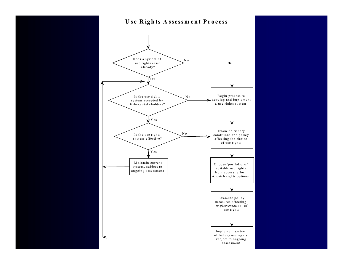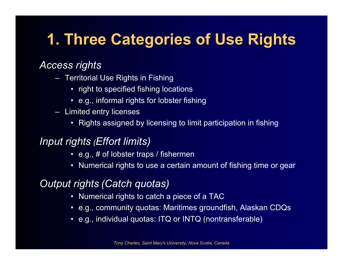# **1. Three Categories of Use Rights 1. Three Categories of Use Rights**

### *Access rights*

- Territorial Use Rights in Fishing
	- right to specified fishing locations
	- e.g., informal rights for lobster fishing
- Limited entry licenses
	- Rights assigned by licensing to limit participation in fishing

#### *Input rights (Effort limits)*

- e.g., # of lobster traps / fishermen
- Numerical rights to use a certain amount of fishing time or gear

#### *Output rights (Catch quotas)*

- Numerical rights to catch a piece of a TAC
- e.g., community quotas: Maritimes groundfish, Alaskan CDQs
- e.g., individual quotas: ITQ or INTQ (nontransferable)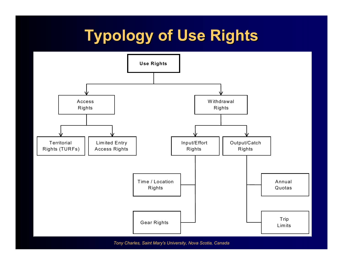# **Typology of Use Rights Typology of Use Rights**



*Tony Charles, Saint Mary's University, Nova Scotia, Canada*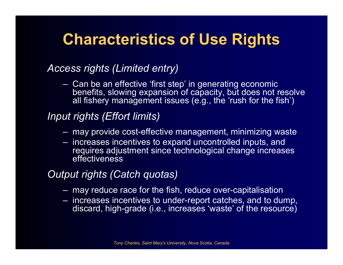# **Characteristics of Use Rights Characteristics of Use Rights**

#### *Access rights (Limited entry)*

 Can be an effective 'first step' in generating economic benefits, slowing expansion of capacity, but does not resolve all fishery management issues (e.g., the 'rush for the fish')

#### *Input rights (Effort limits)*

- may provide cost-effective management, minimizing waste
- increases incentives to expand uncontrolled inputs, and requires adjustment since technological change increases effectiveness

#### *Output rights (Catch quotas)*

- may reduce race for the fish, reduce over-capitalisation
- increases incentives to under-report catches, and to dump, discard, high-grade (i.e., increases 'waste' of the resource)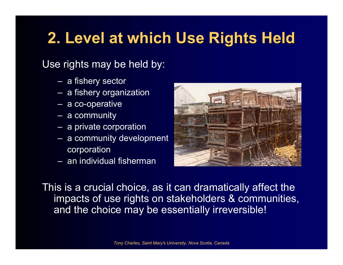# **2. Level at which Use Rights Held 2. Level at which Use Rights Held**

### Use rights may be held by:

- a fishery sector
- a fishery organization
- a co-operative
- a community
- a private corporation
- a community development corporation
- an individual fisherman



This is a crucial choice, as it can dramatically affect the impacts of use rights on stakeholders & communities, and the choice may be essentially irreversible!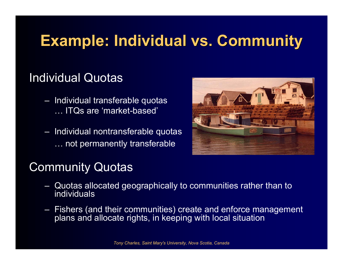# **Example: Individual vs. Community Example: Individual vs. Community**

### Individual Quotas

- Individual transferable quotas … ITQs are 'market-based'
- Individual nontransferable quotas … not permanently transferable



### Community Quotas

- Quotas allocated geographically to communities rather than to individuals
- Fishers (and their communities) create and enforce management plans and allocate rights, in keeping with local situation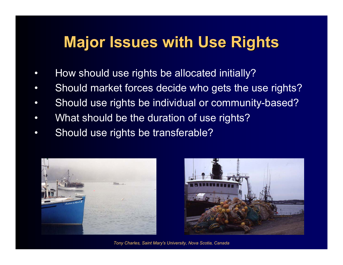## **Major Issues with Use Rights Major Issues with Use Rights**

- •How should use rights be allocated initially?
- •Should market forces decide who gets the use rights?
- •Should use rights be individual or community-based?
- •What should be the duration of use rights?
- •Should use rights be transferable?





*Tony Charles, Saint Mary's University, Nova Scotia, Canada*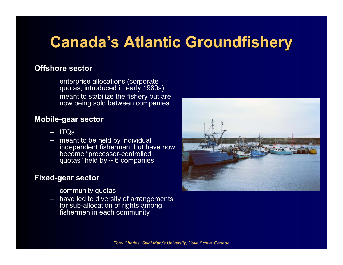# **Canada's Atlantic Groundfishery**

#### **Offshore sector**

- enterprise allocations (corporate quotas, introduced in early 1980s)
- meant to stabilize the fishery but are now being sold between companies

#### **Mobile-gear sector**

- –ITQs
- meant to be held by individual independent fishermen, but have now become "processor-controlled quotas" held by  $\sim$  6 companies

#### **Fixed-gear sector**

- community quotas
- – have led to diversity of arrangements for sub-allocation of rights among fishermen in each community

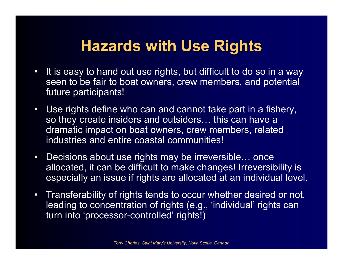### **Hazards with Use Rights**

- • It is easy to hand out use rights, but difficult to do so in a way seen to be fair to boat owners, crew members, and potential future participants!
- Use rights define who can and cannot take part in a fishery, so they create insiders and outsiders… this can have a dramatic impact on boat owners, crew members, related industries and entire coastal communities!
- • Decisions about use rights may be irreversible… once allocated, it can be difficult to make changes! Irreversibility is especially an issue if rights are allocated at an individual level.
- Transferability of rights tends to occur whether desired or not, leading to concentration of rights (e.g., 'individual' rights can turn into 'processor-controlled' rights!)